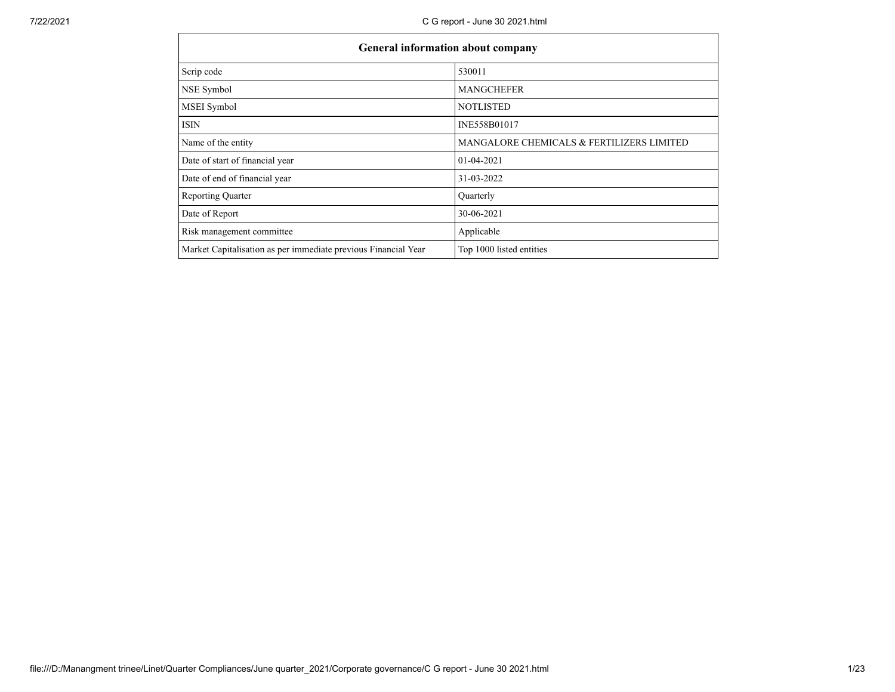|                                                                | <b>General information about company</b>  |  |  |  |  |
|----------------------------------------------------------------|-------------------------------------------|--|--|--|--|
| Scrip code                                                     | 530011                                    |  |  |  |  |
| NSE Symbol                                                     | <b>MANGCHEFER</b>                         |  |  |  |  |
| <b>MSEI</b> Symbol                                             | <b>NOTLISTED</b>                          |  |  |  |  |
| <b>ISIN</b>                                                    | INE558B01017                              |  |  |  |  |
| Name of the entity                                             | MANGALORE CHEMICALS & FERTILIZERS LIMITED |  |  |  |  |
| Date of start of financial year                                | $01-04-2021$                              |  |  |  |  |
| Date of end of financial year                                  | 31-03-2022                                |  |  |  |  |
| <b>Reporting Quarter</b>                                       | Quarterly                                 |  |  |  |  |
| Date of Report                                                 | 30-06-2021                                |  |  |  |  |
| Risk management committee                                      | Applicable                                |  |  |  |  |
| Market Capitalisation as per immediate previous Financial Year | Top 1000 listed entities                  |  |  |  |  |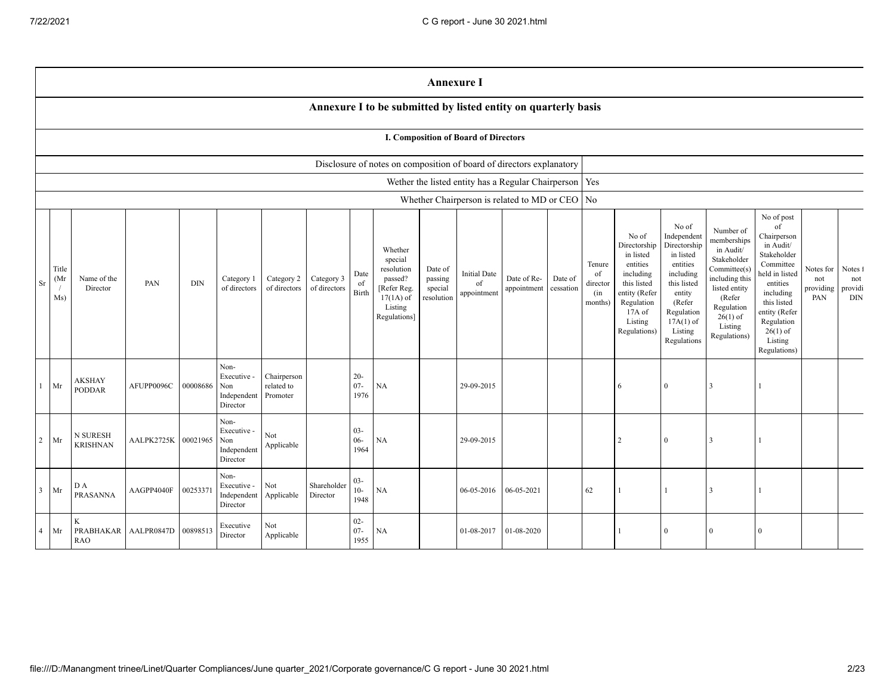|                | <b>Annexure I</b>                                              |                                |                     |            |                                                       |                                       |                            |                          |                                                                                                      |                                             |                                                          |                            |                      |                                            |                                                                                                                                                |                                                                                                                                                                      |                                                                                                                                                                          |                                                                                                                                                                                                            |                                      |                                         |
|----------------|----------------------------------------------------------------|--------------------------------|---------------------|------------|-------------------------------------------------------|---------------------------------------|----------------------------|--------------------------|------------------------------------------------------------------------------------------------------|---------------------------------------------|----------------------------------------------------------|----------------------------|----------------------|--------------------------------------------|------------------------------------------------------------------------------------------------------------------------------------------------|----------------------------------------------------------------------------------------------------------------------------------------------------------------------|--------------------------------------------------------------------------------------------------------------------------------------------------------------------------|------------------------------------------------------------------------------------------------------------------------------------------------------------------------------------------------------------|--------------------------------------|-----------------------------------------|
|                | Annexure I to be submitted by listed entity on quarterly basis |                                |                     |            |                                                       |                                       |                            |                          |                                                                                                      |                                             |                                                          |                            |                      |                                            |                                                                                                                                                |                                                                                                                                                                      |                                                                                                                                                                          |                                                                                                                                                                                                            |                                      |                                         |
|                | <b>I. Composition of Board of Directors</b>                    |                                |                     |            |                                                       |                                       |                            |                          |                                                                                                      |                                             |                                                          |                            |                      |                                            |                                                                                                                                                |                                                                                                                                                                      |                                                                                                                                                                          |                                                                                                                                                                                                            |                                      |                                         |
|                |                                                                |                                |                     |            |                                                       |                                       |                            |                          | Disclosure of notes on composition of board of directors explanatory                                 |                                             |                                                          |                            |                      |                                            |                                                                                                                                                |                                                                                                                                                                      |                                                                                                                                                                          |                                                                                                                                                                                                            |                                      |                                         |
|                |                                                                |                                |                     |            |                                                       |                                       |                            |                          |                                                                                                      |                                             | Wether the listed entity has a Regular Chairperson   Yes |                            |                      |                                            |                                                                                                                                                |                                                                                                                                                                      |                                                                                                                                                                          |                                                                                                                                                                                                            |                                      |                                         |
|                |                                                                |                                |                     |            |                                                       |                                       |                            |                          |                                                                                                      |                                             | Whether Chairperson is related to MD or CEO   No         |                            |                      |                                            |                                                                                                                                                |                                                                                                                                                                      |                                                                                                                                                                          |                                                                                                                                                                                                            |                                      |                                         |
| Sr             | Title<br>(Mr<br>$\sqrt{2}$<br>Ms)                              | Name of the<br>Director        | PAN                 | <b>DIN</b> | Category 1<br>of directors                            | Category 2<br>of directors            | Category 3<br>of directors | Date<br>of<br>Birth      | Whether<br>special<br>resolution<br>passed?<br>[Refer Reg.<br>$17(1A)$ of<br>Listing<br>Regulations] | Date of<br>passing<br>special<br>resolution | <b>Initial Date</b><br>of<br>appointment                 | Date of Re-<br>appointment | Date of<br>cessation | Tenure<br>of<br>director<br>(in<br>months) | No of<br>Directorship<br>in listed<br>entities<br>including<br>this listed<br>entity (Refer<br>Regulation<br>17A of<br>Listing<br>Regulations) | No of<br>Independent<br>Directorship<br>in listed<br>entities<br>including<br>this listed<br>entity<br>(Refer<br>Regulation<br>$17A(1)$ of<br>Listing<br>Regulations | Number of<br>memberships<br>in Audit/<br>Stakeholder<br>Committee(s)<br>including this<br>listed entity<br>(Refer<br>Regulation<br>$26(1)$ of<br>Listing<br>Regulations) | No of post<br>of<br>Chairperson<br>in Audit/<br>Stakeholder<br>Committee<br>held in listed<br>entities<br>including<br>this listed<br>entity (Refer<br>Regulation<br>$26(1)$ of<br>Listing<br>Regulations) | Notes for<br>not<br>providing<br>PAN | Notes f<br>not<br>providi<br><b>DIN</b> |
| $\mathbf{1}$   | Mr                                                             | <b>AKSHAY</b><br><b>PODDAR</b> | AFUPP0096C          | 00008686   | Non-<br>Executive -<br>Non<br>Independent<br>Director | Chairperson<br>related to<br>Promoter |                            | $20 -$<br>$07 -$<br>1976 | <b>NA</b>                                                                                            |                                             | 29-09-2015                                               |                            |                      |                                            | 6                                                                                                                                              | $\overline{0}$                                                                                                                                                       | 3                                                                                                                                                                        |                                                                                                                                                                                                            |                                      |                                         |
| 2              | Mr                                                             | N SURESH<br><b>KRISHNAN</b>    | AALPK2725K 00021965 |            | Non-<br>Executive -<br>Non<br>Independent<br>Director | Not<br>${\large \bf Applicable}$      |                            | $03 -$<br>$06 -$<br>1964 | NA                                                                                                   |                                             | 29-09-2015                                               |                            |                      |                                            | $\overline{2}$                                                                                                                                 | $\overline{0}$                                                                                                                                                       | 3                                                                                                                                                                        |                                                                                                                                                                                                            |                                      |                                         |
| $\overline{3}$ | Mr                                                             | DА<br><b>PRASANNA</b>          | AAGPP4040F          | 00253371   | Non-<br>Executive -<br>Independent<br>Director        | $\rm Not$<br>Applicable               | Shareholder<br>Director    | $03 -$<br>$10-$<br>1948  | NA                                                                                                   |                                             | 06-05-2016                                               | 06-05-2021                 |                      | 62                                         |                                                                                                                                                |                                                                                                                                                                      | 3                                                                                                                                                                        |                                                                                                                                                                                                            |                                      |                                         |
| $\overline{4}$ | Mr                                                             | K<br>PRABHAKAR<br><b>RAO</b>   | AALPR0847D 00898513 |            | Executive<br>Director                                 | Not<br>Applicable                     |                            | $02 -$<br>$07 -$<br>1955 | NA                                                                                                   |                                             | 01-08-2017                                               | 01-08-2020                 |                      |                                            |                                                                                                                                                | $\overline{0}$                                                                                                                                                       | $\Omega$                                                                                                                                                                 | $\Omega$                                                                                                                                                                                                   |                                      |                                         |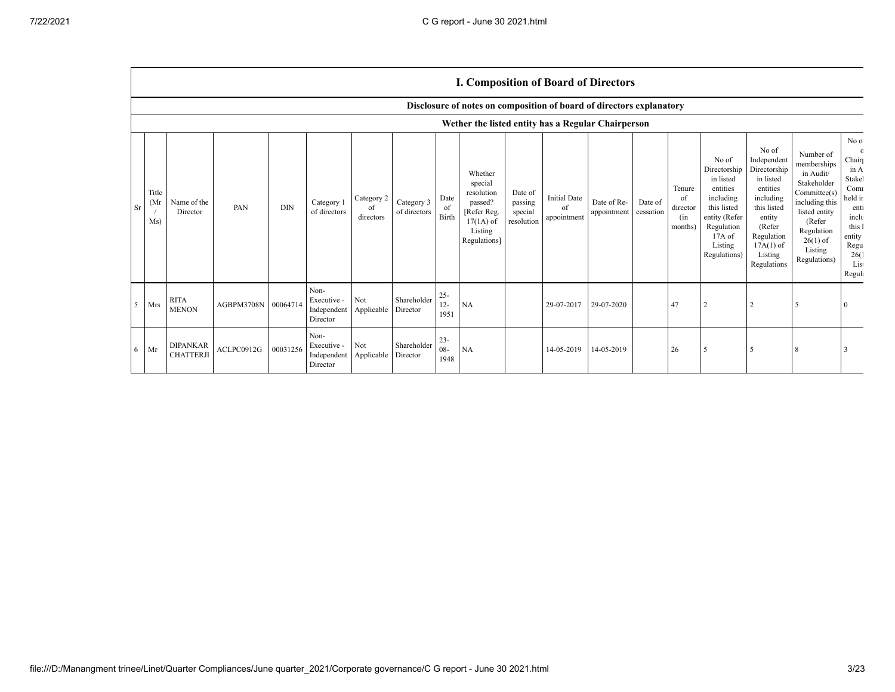## **I. Composition of Board of Directors**

|                |                      |                                                    |                     |            |                                                           |                               |                            |                          | Disclosure of notes on composition of board of directors explanatory                                 |                                             |                                          |                            |                      |                                            |                                                                                                                                                  |                                                                                                                                                                      |                                                                                                                                                                          |                                                                                                                                         |
|----------------|----------------------|----------------------------------------------------|---------------------|------------|-----------------------------------------------------------|-------------------------------|----------------------------|--------------------------|------------------------------------------------------------------------------------------------------|---------------------------------------------|------------------------------------------|----------------------------|----------------------|--------------------------------------------|--------------------------------------------------------------------------------------------------------------------------------------------------|----------------------------------------------------------------------------------------------------------------------------------------------------------------------|--------------------------------------------------------------------------------------------------------------------------------------------------------------------------|-----------------------------------------------------------------------------------------------------------------------------------------|
|                |                      | Wether the listed entity has a Regular Chairperson |                     |            |                                                           |                               |                            |                          |                                                                                                      |                                             |                                          |                            |                      |                                            |                                                                                                                                                  |                                                                                                                                                                      |                                                                                                                                                                          |                                                                                                                                         |
| Sr             | Title<br>(Mr)<br>Ms) | Name of the<br>Director                            | PAN                 | <b>DIN</b> | Category 1<br>of directors                                | Category 2<br>of<br>directors | Category 3<br>of directors | Date<br>of<br>Birth      | Whether<br>special<br>resolution<br>passed?<br>[Refer Reg.<br>$17(1A)$ of<br>Listing<br>Regulations] | Date of<br>passing<br>special<br>resolution | <b>Initial Date</b><br>of<br>appointment | Date of Re-<br>appointment | Date of<br>cessation | Tenure<br>of<br>director<br>(in<br>months) | No of<br>Directorship<br>in listed<br>entities<br>including<br>this listed<br>entity (Refer<br>Regulation<br>$17A$ of<br>Listing<br>Regulations) | No of<br>Independent<br>Directorship<br>in listed<br>entities<br>including<br>this listed<br>entity<br>(Refer<br>Regulation<br>$17A(1)$ of<br>Listing<br>Regulations | Number of<br>memberships<br>in Audit/<br>Stakeholder<br>Committee(s)<br>including this<br>listed entity<br>(Refer<br>Regulation<br>$26(1)$ of<br>Listing<br>Regulations) | No of<br>$\Omega$<br>Chair<br>in A<br>Stakel<br>Comr<br>held in<br>enti<br>inclu<br>this 1<br>entity<br>Regu<br>26(1)<br>List<br>Regula |
| 5 <sup>7</sup> | Mrs                  | <b>RITA</b><br><b>MENON</b>                        | AGBPM3708N 00064714 |            | Non-<br>Executive -<br>Independent Applicable<br>Director | Not                           | Shareholder<br>Director    | $25 -$<br>$12 -$<br>1951 | NA                                                                                                   |                                             | 29-07-2017                               | 29-07-2020                 |                      | 47                                         |                                                                                                                                                  |                                                                                                                                                                      |                                                                                                                                                                          |                                                                                                                                         |
| 6              | Mr                   | <b>DIPANKAR</b><br><b>CHATTERJI</b>                | ACLPC0912G          | 00031256   | Non-<br>Executive -<br>Independent Applicable<br>Director | Not                           | Shareholder<br>Director    | $23 -$<br>$08 -$<br>1948 | NA                                                                                                   |                                             | 14-05-2019                               | 14-05-2019                 |                      | 26                                         |                                                                                                                                                  |                                                                                                                                                                      |                                                                                                                                                                          |                                                                                                                                         |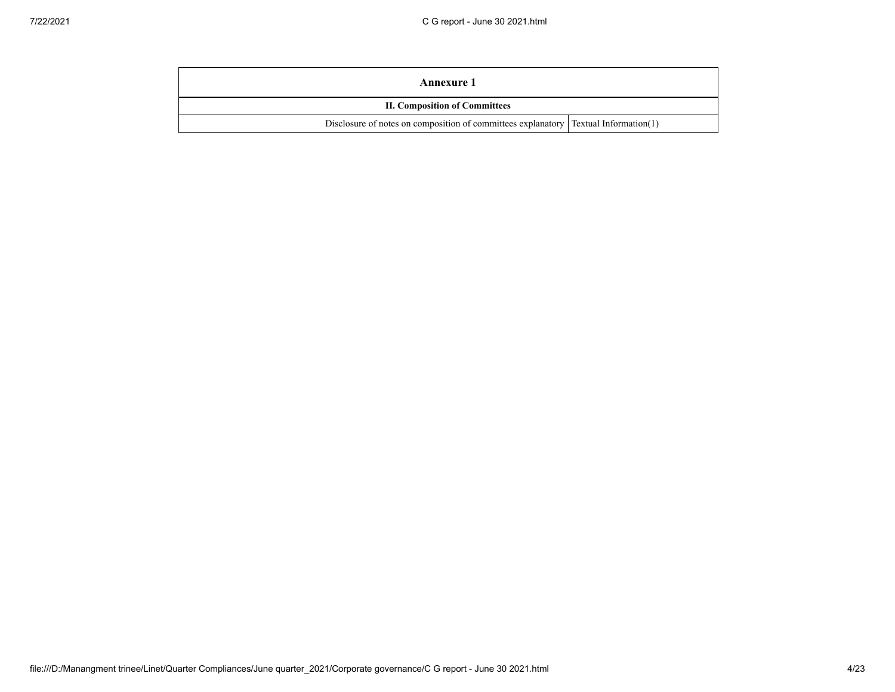| Annexure 1                                                                                   |  |
|----------------------------------------------------------------------------------------------|--|
| <b>II. Composition of Committees</b>                                                         |  |
| Disclosure of notes on composition of committees explanatory $\Gamma$ Textual Information(1) |  |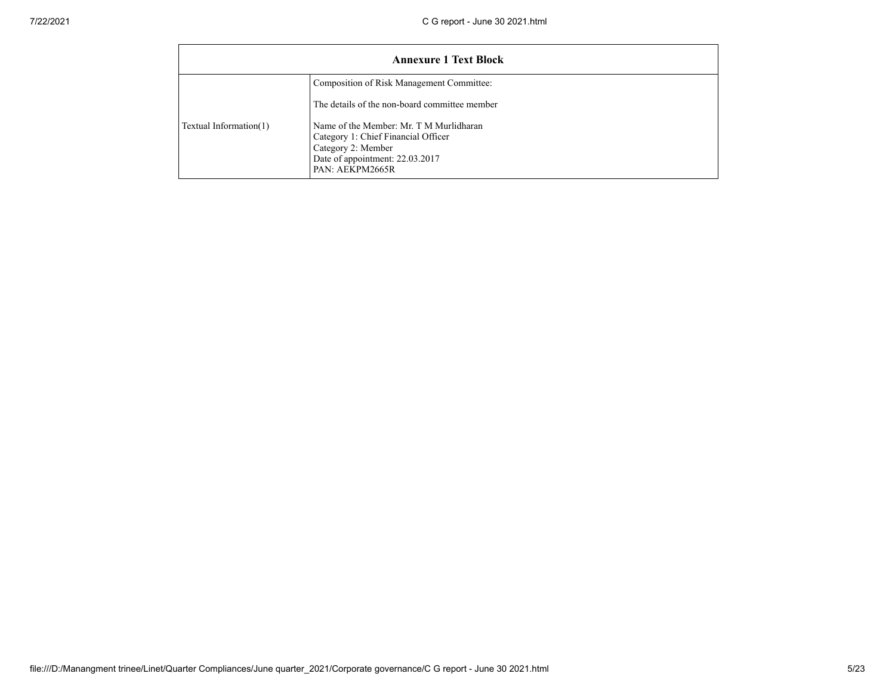| <b>Annexure 1 Text Block</b> |                                                                                                                                                            |  |  |  |  |
|------------------------------|------------------------------------------------------------------------------------------------------------------------------------------------------------|--|--|--|--|
|                              | Composition of Risk Management Committee:<br>The details of the non-board committee member                                                                 |  |  |  |  |
| Textual Information(1)       | Name of the Member: Mr. T M Murlidharan<br>Category 1: Chief Financial Officer<br>Category 2: Member<br>Date of appointment: 22.03.2017<br>PAN: AEKPM2665R |  |  |  |  |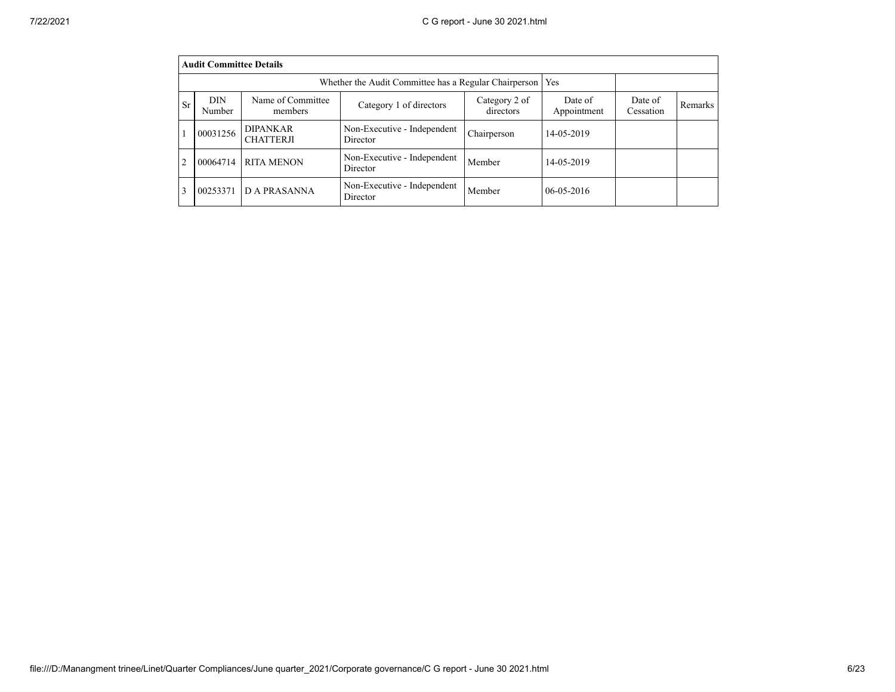|                | <b>Audit Committee Details</b>                                      |                                     |                                         |                            |                        |                      |         |  |
|----------------|---------------------------------------------------------------------|-------------------------------------|-----------------------------------------|----------------------------|------------------------|----------------------|---------|--|
|                | Whether the Audit Committee has a Regular Chairperson<br><b>Yes</b> |                                     |                                         |                            |                        |                      |         |  |
| <b>Sr</b>      | <b>DIN</b><br>Number                                                | Name of Committee<br>members        | Category 1 of directors                 | Category 2 of<br>directors | Date of<br>Appointment | Date of<br>Cessation | Remarks |  |
|                | 00031256                                                            | <b>DIPANKAR</b><br><b>CHATTERJI</b> | Non-Executive - Independent<br>Director | Chairperson                | 14-05-2019             |                      |         |  |
| $\overline{c}$ | 00064714                                                            | <b>RITA MENON</b>                   | Non-Executive - Independent<br>Director | Member                     | 14-05-2019             |                      |         |  |
| 3              | 00253371                                                            | D A PRASANNA                        | Non-Executive - Independent<br>Director | Member                     | $06 - 05 - 2016$       |                      |         |  |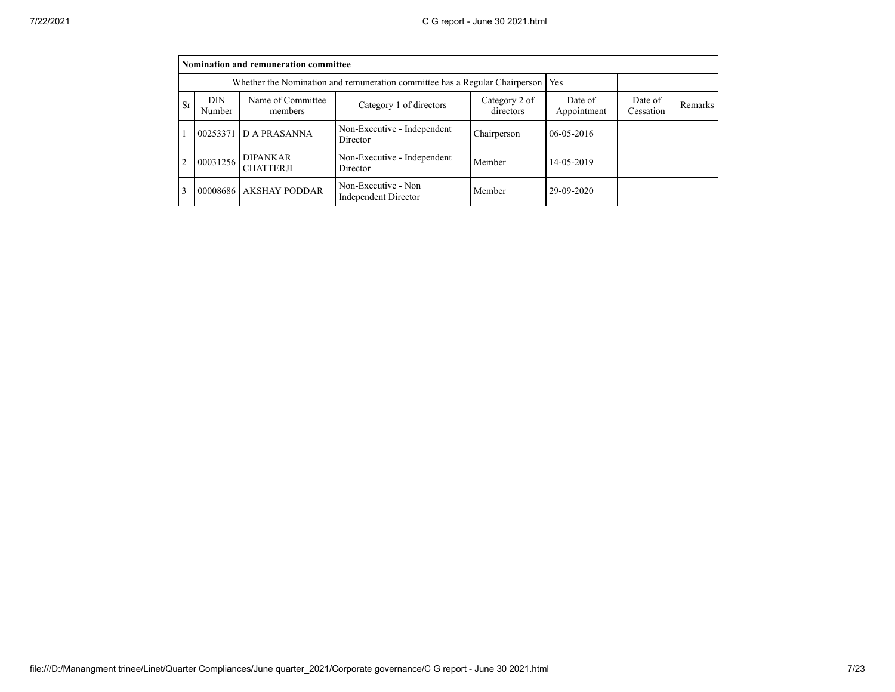|                | Nomination and remuneration committee                                              |                                     |                                             |                            |                        |                      |         |  |
|----------------|------------------------------------------------------------------------------------|-------------------------------------|---------------------------------------------|----------------------------|------------------------|----------------------|---------|--|
|                | Whether the Nomination and remuneration committee has a Regular Chairperson<br>Yes |                                     |                                             |                            |                        |                      |         |  |
| <b>Sr</b>      | DIN<br>Number                                                                      | Name of Committee<br>members        | Category 1 of directors                     | Category 2 of<br>directors | Date of<br>Appointment | Date of<br>Cessation | Remarks |  |
|                | 00253371                                                                           | D A PRASANNA                        | Non-Executive - Independent<br>Director     | Chairperson                | $06 - 05 - 2016$       |                      |         |  |
| $\overline{2}$ | 00031256                                                                           | <b>DIPANKAR</b><br><b>CHATTERJI</b> | Non-Executive - Independent<br>Director     | Member                     | 14-05-2019             |                      |         |  |
| 3              |                                                                                    | 00008686 AKSHAY PODDAR              | Non-Executive - Non<br>Independent Director | Member                     | 29-09-2020             |                      |         |  |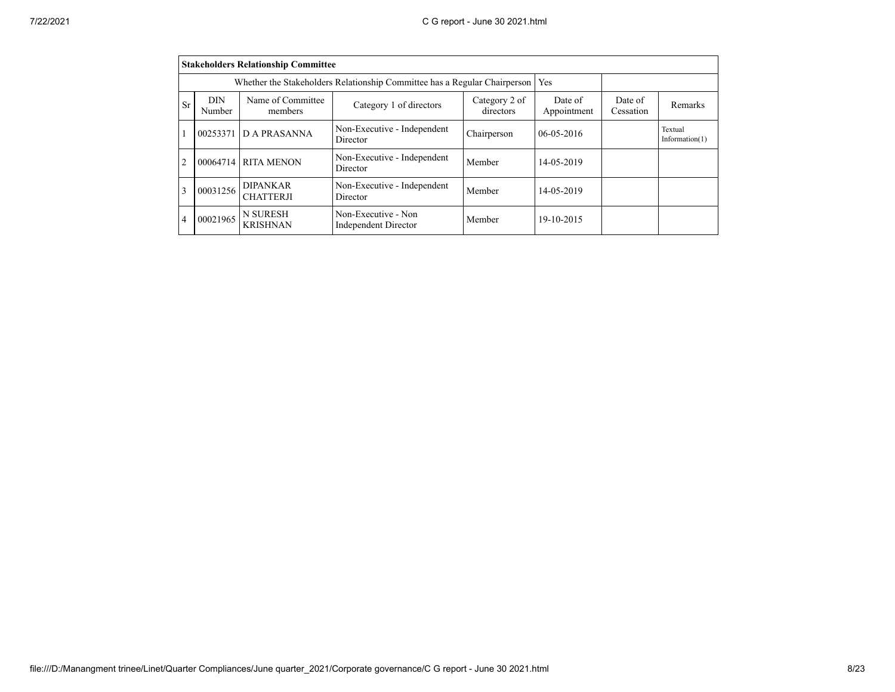|                | <b>Stakeholders Relationship Committee</b> |                                                                           |                                                    |                            |                        |                      |                              |
|----------------|--------------------------------------------|---------------------------------------------------------------------------|----------------------------------------------------|----------------------------|------------------------|----------------------|------------------------------|
|                |                                            | Whether the Stakeholders Relationship Committee has a Regular Chairperson | Yes                                                |                            |                        |                      |                              |
| Sr             | <b>DIN</b><br>Number                       | Name of Committee<br>members                                              | Category 1 of directors                            | Category 2 of<br>directors | Date of<br>Appointment | Date of<br>Cessation | Remarks                      |
|                | 00253371                                   | D A PRASANNA                                                              | Non-Executive - Independent<br>Director            | Chairperson                | $06 - 05 - 2016$       |                      | Textual<br>Information $(1)$ |
| $\overline{2}$ | 00064714                                   | <b>RITA MENON</b>                                                         | Non-Executive - Independent<br>Director            | Member                     | 14-05-2019             |                      |                              |
| 3              | 00031256                                   | <b>DIPANKAR</b><br><b>CHATTERJI</b>                                       | Non-Executive - Independent<br>Director            | Member                     | 14-05-2019             |                      |                              |
| 4              | 00021965                                   | N SURESH<br><b>KRISHNAN</b>                                               | Non-Executive - Non<br><b>Independent Director</b> | Member                     | 19-10-2015             |                      |                              |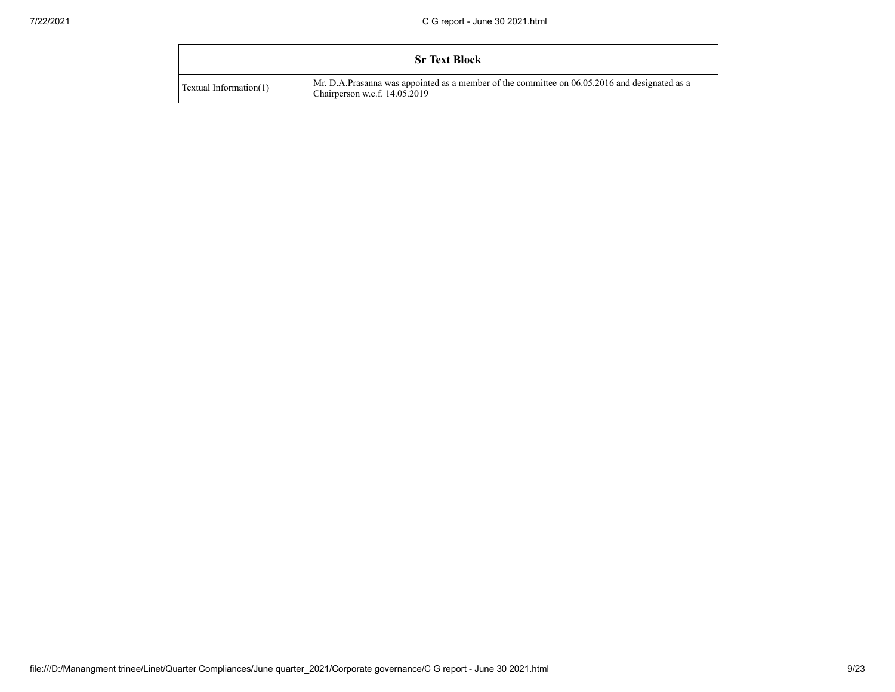|                        | <b>Sr Text Block</b>                                                                                                             |
|------------------------|----------------------------------------------------------------------------------------------------------------------------------|
| Textual Information(1) | Mr. D.A.Prasanna was appointed as a member of the committee on 06.05.2016 and designated as a<br>Chairperson w.e.f. $14.05.2019$ |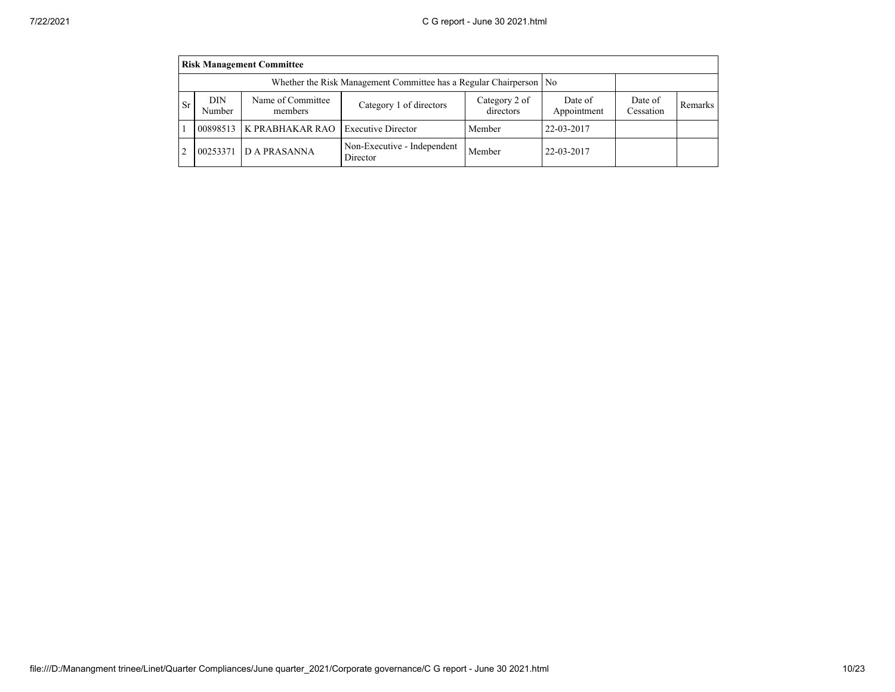|                | <b>Risk Management Committee</b> |                                                                      |                                         |                            |                        |                      |         |  |
|----------------|----------------------------------|----------------------------------------------------------------------|-----------------------------------------|----------------------------|------------------------|----------------------|---------|--|
|                |                                  | Whether the Risk Management Committee has a Regular Chairperson   No |                                         |                            |                        |                      |         |  |
| <b>Sr</b>      | DIN<br><b>Number</b>             | Name of Committee<br>members                                         | Category 1 of directors                 | Category 2 of<br>directors | Date of<br>Appointment | Date of<br>Cessation | Remarks |  |
|                |                                  | 00898513 K PRABHAKAR RAO                                             | <b>Executive Director</b>               | Member                     | 22-03-2017             |                      |         |  |
| $\mathfrak{D}$ | 00253371                         | D A PRASANNA                                                         | Non-Executive - Independent<br>Director | Member                     | 22-03-2017             |                      |         |  |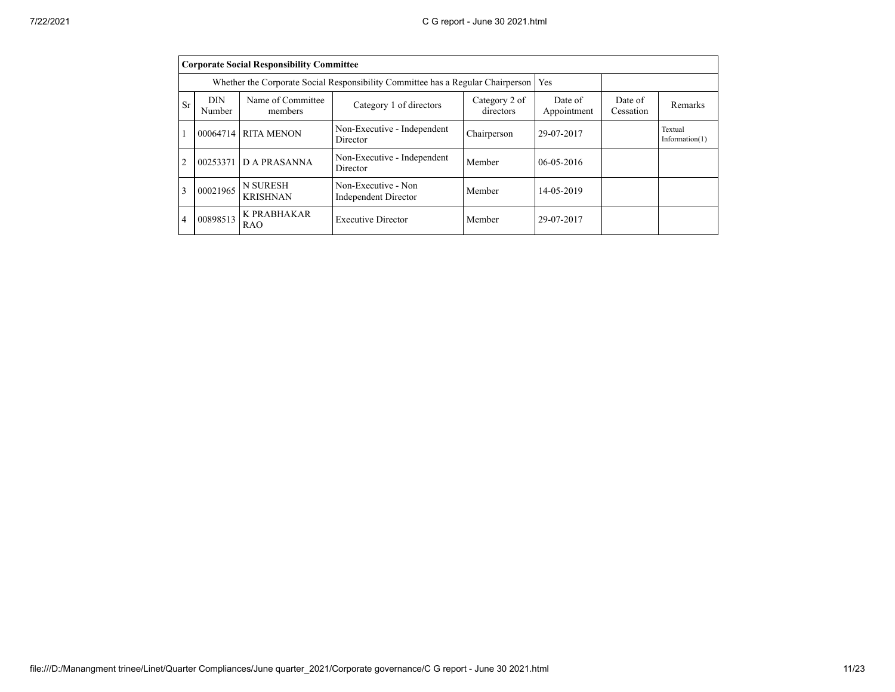|                | <b>Corporate Social Responsibility Committee</b> |                                                                                 |                                                    |                            |                        |                      |                              |
|----------------|--------------------------------------------------|---------------------------------------------------------------------------------|----------------------------------------------------|----------------------------|------------------------|----------------------|------------------------------|
|                |                                                  | Whether the Corporate Social Responsibility Committee has a Regular Chairperson | Yes                                                |                            |                        |                      |                              |
| Sr             | DIN<br>Number                                    | Name of Committee<br>members                                                    | Category 1 of directors                            | Category 2 of<br>directors | Date of<br>Appointment | Date of<br>Cessation | Remarks                      |
|                |                                                  | 00064714 RITA MENON                                                             | Non-Executive - Independent<br>Director            | Chairperson                | 29-07-2017             |                      | Textual<br>Information $(1)$ |
| $\overline{2}$ | 00253371                                         | <b>DA PRASANNA</b>                                                              | Non-Executive - Independent<br>Director            | Member                     | $06 - 05 - 2016$       |                      |                              |
| 3              | 00021965                                         | <b>N SURESH</b><br><b>KRISHNAN</b>                                              | Non-Executive - Non<br><b>Independent Director</b> | Member                     | 14-05-2019             |                      |                              |
| 4              | 00898513                                         | <b>K PRABHAKAR</b><br><b>RAO</b>                                                | <b>Executive Director</b>                          | Member                     | 29-07-2017             |                      |                              |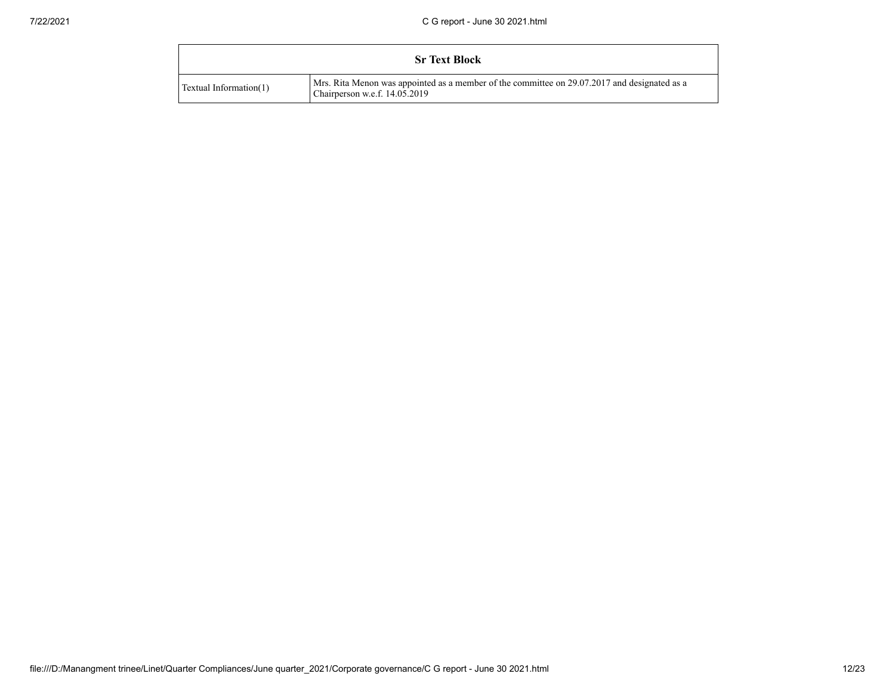|                        | <b>Sr Text Block</b>                                                                                                          |
|------------------------|-------------------------------------------------------------------------------------------------------------------------------|
| Textual Information(1) | Mrs. Rita Menon was appointed as a member of the committee on 29.07.2017 and designated as a<br>Chairperson w.e.f. 14.05.2019 |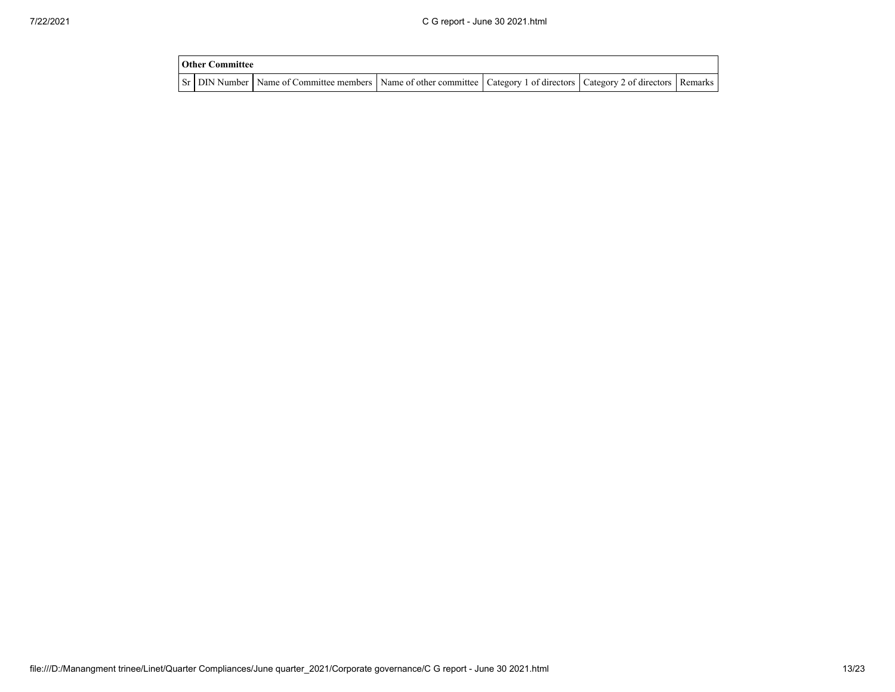| <b>Other Committee</b> |                                                                                                                                     |  |  |
|------------------------|-------------------------------------------------------------------------------------------------------------------------------------|--|--|
|                        | Sr   DIN Number   Name of Committee members   Name of other committee   Category 1 of directors   Category 2 of directors   Remarks |  |  |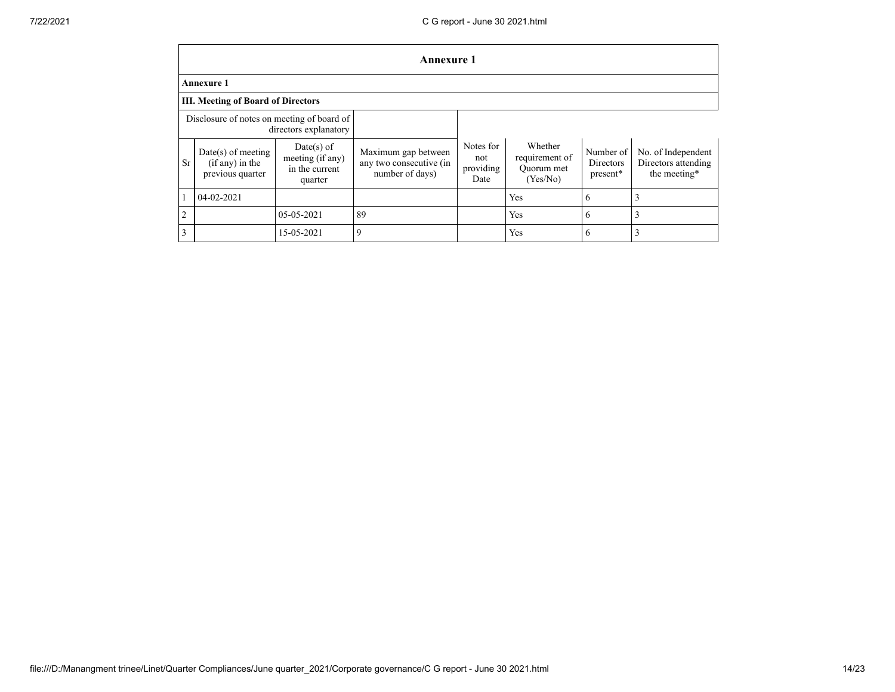|                                                                     | <b>Annexure 1</b>                                             |                                                             |                                                                   |                                       |                                                     |                                           |                                                           |
|---------------------------------------------------------------------|---------------------------------------------------------------|-------------------------------------------------------------|-------------------------------------------------------------------|---------------------------------------|-----------------------------------------------------|-------------------------------------------|-----------------------------------------------------------|
|                                                                     | <b>Annexure 1</b>                                             |                                                             |                                                                   |                                       |                                                     |                                           |                                                           |
|                                                                     | <b>III. Meeting of Board of Directors</b>                     |                                                             |                                                                   |                                       |                                                     |                                           |                                                           |
| Disclosure of notes on meeting of board of<br>directors explanatory |                                                               |                                                             |                                                                   |                                       |                                                     |                                           |                                                           |
| <b>Sr</b>                                                           | $Date(s)$ of meeting<br>$(if any)$ in the<br>previous quarter | Date(s) of<br>meeting (if any)<br>in the current<br>quarter | Maximum gap between<br>any two consecutive (in<br>number of days) | Notes for<br>not<br>providing<br>Date | Whether<br>requirement of<br>Ouorum met<br>(Yes/No) | Number of<br><b>Directors</b><br>present* | No. of Independent<br>Directors attending<br>the meeting* |
|                                                                     | $04 - 02 - 2021$                                              |                                                             |                                                                   |                                       | Yes                                                 | 6                                         |                                                           |
| $\overline{2}$                                                      |                                                               | 05-05-2021                                                  | 89                                                                |                                       | Yes                                                 | 6                                         |                                                           |
| 3                                                                   |                                                               | 15-05-2021                                                  | 9                                                                 |                                       | Yes                                                 | 6                                         |                                                           |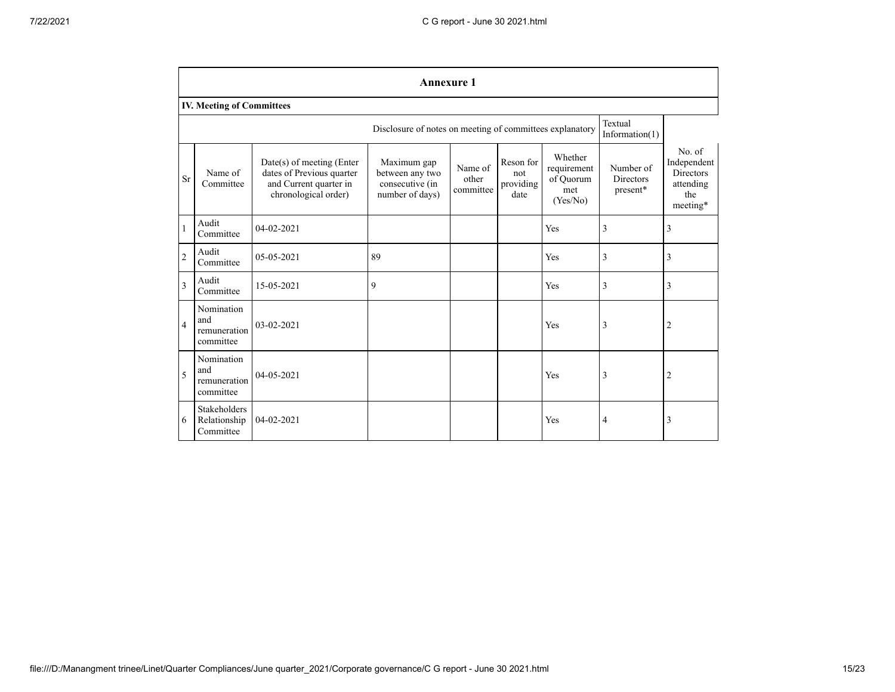|                         | <b>Annexure 1</b>                                                                        |                                                                                                          |                                                                      |                               |                                       |                                                        |                                    |                                                                           |
|-------------------------|------------------------------------------------------------------------------------------|----------------------------------------------------------------------------------------------------------|----------------------------------------------------------------------|-------------------------------|---------------------------------------|--------------------------------------------------------|------------------------------------|---------------------------------------------------------------------------|
|                         | <b>IV. Meeting of Committees</b>                                                         |                                                                                                          |                                                                      |                               |                                       |                                                        |                                    |                                                                           |
|                         | Textual<br>Disclosure of notes on meeting of committees explanatory<br>Information $(1)$ |                                                                                                          |                                                                      |                               |                                       |                                                        |                                    |                                                                           |
| <b>Sr</b>               | Name of<br>Committee                                                                     | Date(s) of meeting (Enter<br>dates of Previous quarter<br>and Current quarter in<br>chronological order) | Maximum gap<br>between any two<br>consecutive (in<br>number of days) | Name of<br>other<br>committee | Reson for<br>not<br>providing<br>date | Whether<br>requirement<br>of Quorum<br>met<br>(Yes/No) | Number of<br>Directors<br>present* | No. of<br>Independent<br><b>Directors</b><br>attending<br>the<br>meeting* |
| 1                       | Audit<br>Committee                                                                       | 04-02-2021                                                                                               |                                                                      |                               |                                       | Yes                                                    | 3                                  | 3                                                                         |
| $\overline{2}$          | Audit<br>Committee                                                                       | 05-05-2021                                                                                               | 89                                                                   |                               |                                       | Yes                                                    | 3                                  | 3                                                                         |
| $\overline{\mathbf{3}}$ | Audit<br>Committee                                                                       | 15-05-2021                                                                                               | 9                                                                    |                               |                                       | Yes                                                    | 3                                  | 3                                                                         |
| $\overline{4}$          | Nomination<br>and<br>remuneration<br>committee                                           | $03-02-2021$                                                                                             |                                                                      |                               |                                       | Yes                                                    | 3                                  | $\overline{2}$                                                            |
| 5                       | Nomination<br>and<br>remuneration<br>committee                                           | $04 - 05 - 2021$                                                                                         |                                                                      |                               |                                       | Yes                                                    | 3                                  | 2                                                                         |
| 6                       | <b>Stakeholders</b><br>Relationship<br>Committee                                         | 04-02-2021                                                                                               |                                                                      |                               |                                       | Yes                                                    | 4                                  | 3                                                                         |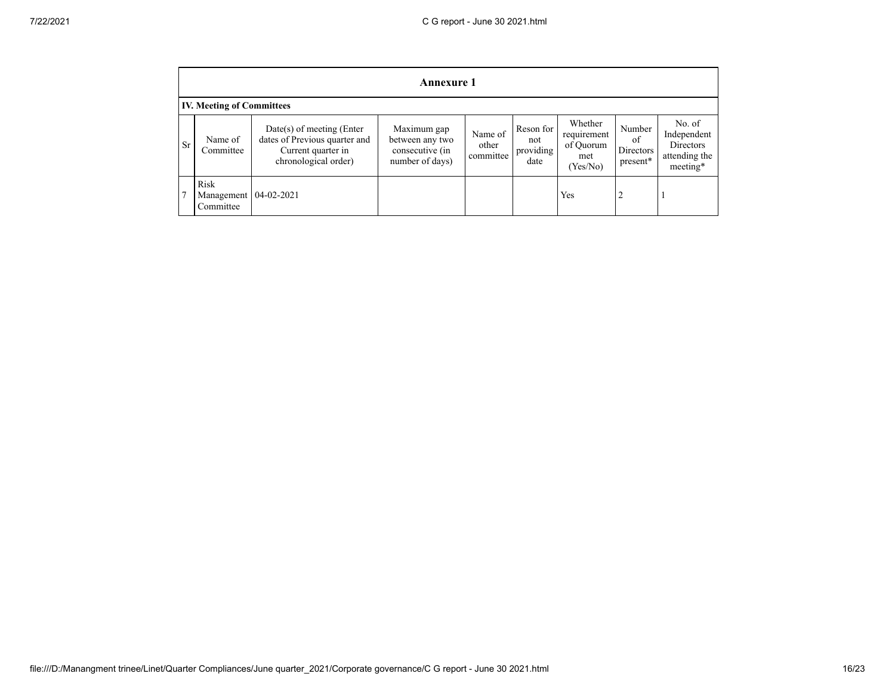|           | <b>Annexure 1</b>                |                                                                                                            |                                                                      |                               |                                       |                                                        |                                       |                                                                        |
|-----------|----------------------------------|------------------------------------------------------------------------------------------------------------|----------------------------------------------------------------------|-------------------------------|---------------------------------------|--------------------------------------------------------|---------------------------------------|------------------------------------------------------------------------|
|           | <b>IV. Meeting of Committees</b> |                                                                                                            |                                                                      |                               |                                       |                                                        |                                       |                                                                        |
| <b>Sr</b> | Name of<br>Committee             | $Date(s)$ of meeting (Enter<br>dates of Previous quarter and<br>Current quarter in<br>chronological order) | Maximum gap<br>between any two<br>consecutive (in<br>number of days) | Name of<br>other<br>committee | Reson for<br>not<br>providing<br>date | Whether<br>requirement<br>of Quorum<br>met<br>(Yes/No) | Number<br>of<br>Directors<br>present* | No. of<br>Independent<br><b>Directors</b><br>attending the<br>meeting* |
| 7         | Risk<br>Management<br>Committee  | $04 - 02 - 2021$                                                                                           |                                                                      |                               |                                       | Yes                                                    | ∠                                     |                                                                        |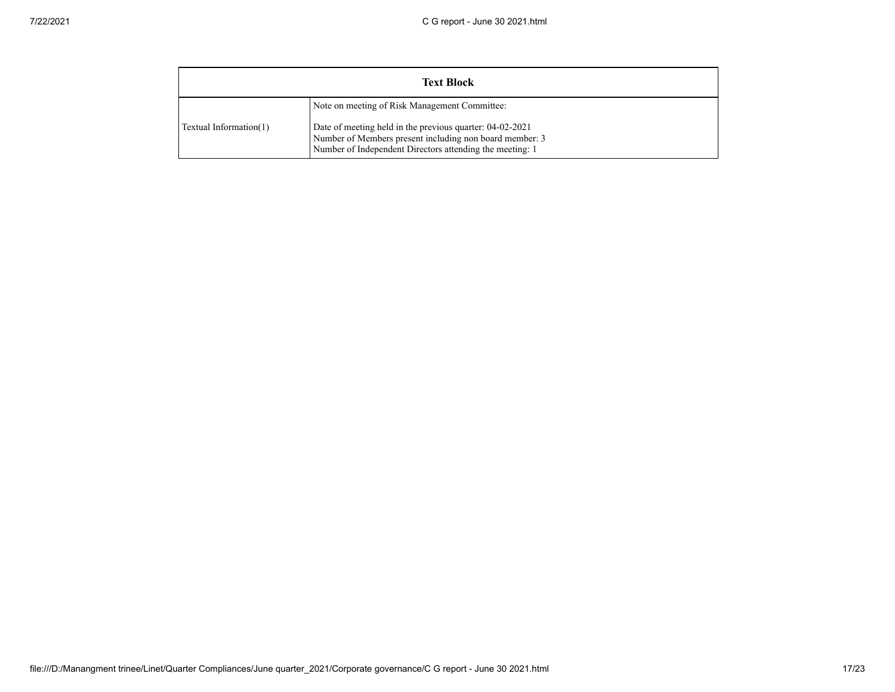| <b>Text Block</b>      |                                                                                                                                                                                                                                  |  |  |  |
|------------------------|----------------------------------------------------------------------------------------------------------------------------------------------------------------------------------------------------------------------------------|--|--|--|
| Textual Information(1) | Note on meeting of Risk Management Committee:<br>Date of meeting held in the previous quarter: 04-02-2021<br>Number of Members present including non board member: 3<br>Number of Independent Directors attending the meeting: 1 |  |  |  |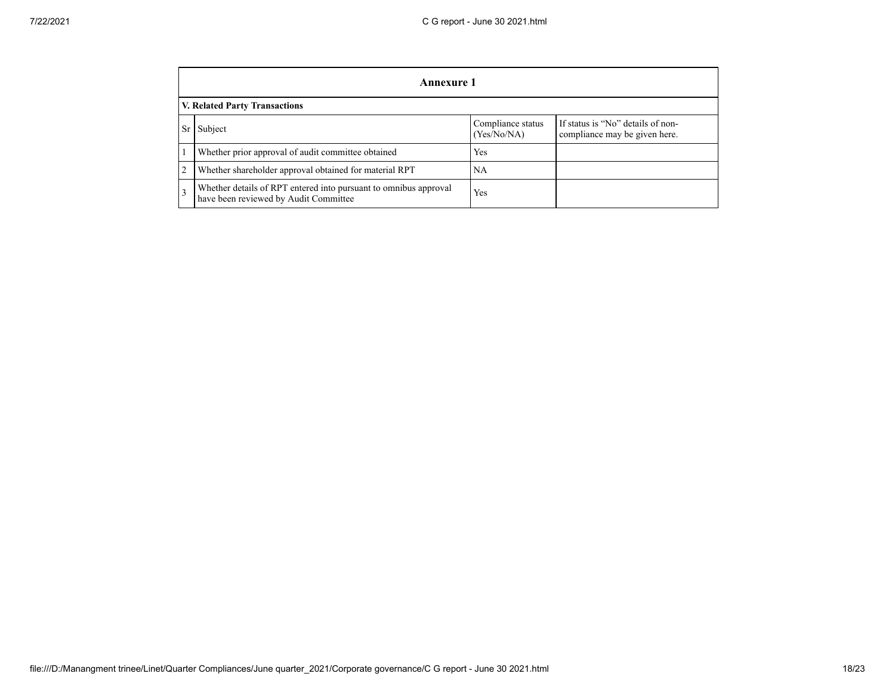|           | Annexure 1                                                                                                        |     |  |  |  |  |
|-----------|-------------------------------------------------------------------------------------------------------------------|-----|--|--|--|--|
|           | V. Related Party Transactions                                                                                     |     |  |  |  |  |
| <b>Sr</b> | If status is "No" details of non-<br>Compliance status<br>Subject<br>(Yes/No/NA)<br>compliance may be given here. |     |  |  |  |  |
|           | Whether prior approval of audit committee obtained                                                                | Yes |  |  |  |  |
| 2         | Whether shareholder approval obtained for material RPT                                                            | NA  |  |  |  |  |
| 3         | Whether details of RPT entered into pursuant to omnibus approval<br>have been reviewed by Audit Committee         | Yes |  |  |  |  |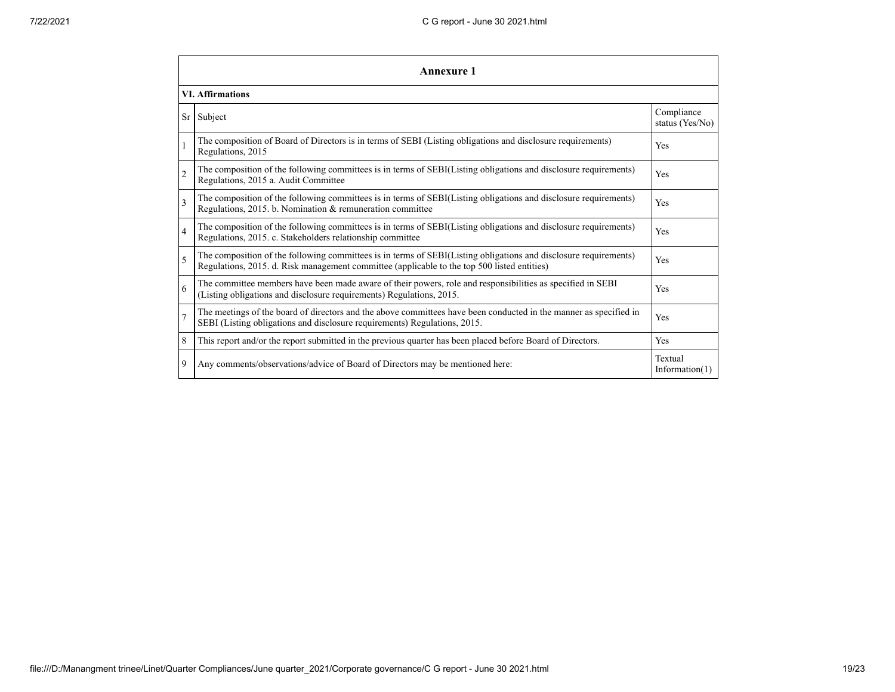|                          | Annexure 1                                                                                                                                                                                                      |                               |  |  |  |
|--------------------------|-----------------------------------------------------------------------------------------------------------------------------------------------------------------------------------------------------------------|-------------------------------|--|--|--|
|                          | <b>VI. Affirmations</b>                                                                                                                                                                                         |                               |  |  |  |
| Sr                       | Subject                                                                                                                                                                                                         | Compliance<br>status (Yes/No) |  |  |  |
|                          | The composition of Board of Directors is in terms of SEBI (Listing obligations and disclosure requirements)<br>Regulations, 2015                                                                                | Yes                           |  |  |  |
| $\overline{c}$           | The composition of the following committees is in terms of SEBI(Listing obligations and disclosure requirements)<br>Regulations, 2015 a. Audit Committee                                                        | Yes                           |  |  |  |
| $\overline{3}$           | The composition of the following committees is in terms of SEBI(Listing obligations and disclosure requirements)<br>Regulations, 2015. b. Nomination & remuneration committee                                   | Yes                           |  |  |  |
| $\overline{\mathcal{L}}$ | The composition of the following committees is in terms of SEBI(Listing obligations and disclosure requirements)<br>Regulations, 2015. c. Stakeholders relationship committee                                   | Yes                           |  |  |  |
| 5                        | The composition of the following committees is in terms of SEBI(Listing obligations and disclosure requirements)<br>Regulations, 2015. d. Risk management committee (applicable to the top 500 listed entities) | Yes                           |  |  |  |
| 6                        | The committee members have been made aware of their powers, role and responsibilities as specified in SEBI<br>(Listing obligations and disclosure requirements) Regulations, 2015.                              | Yes                           |  |  |  |
|                          | The meetings of the board of directors and the above committees have been conducted in the manner as specified in<br>SEBI (Listing obligations and disclosure requirements) Regulations, 2015.                  | Yes                           |  |  |  |
| 8                        | This report and/or the report submitted in the previous quarter has been placed before Board of Directors.                                                                                                      | Yes                           |  |  |  |
| 9                        | Any comments/observations/advice of Board of Directors may be mentioned here:                                                                                                                                   | Textual<br>Information $(1)$  |  |  |  |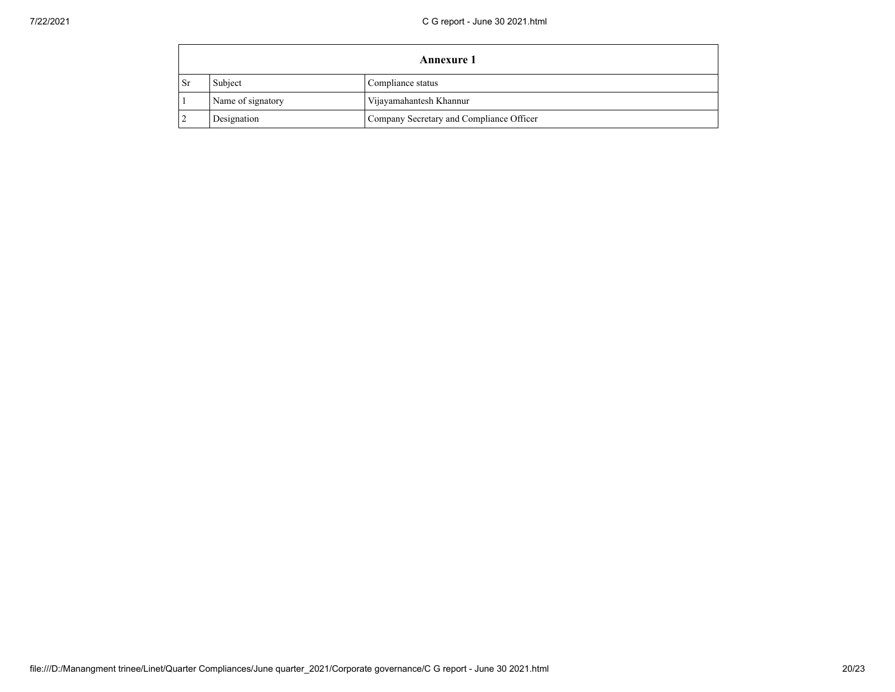|      | <b>Annexure 1</b>            |                                          |  |  |  |
|------|------------------------------|------------------------------------------|--|--|--|
| - Sr | Subject<br>Compliance status |                                          |  |  |  |
|      | Name of signatory            | Vijayamahantesh Khannur                  |  |  |  |
|      | Designation                  | Company Secretary and Compliance Officer |  |  |  |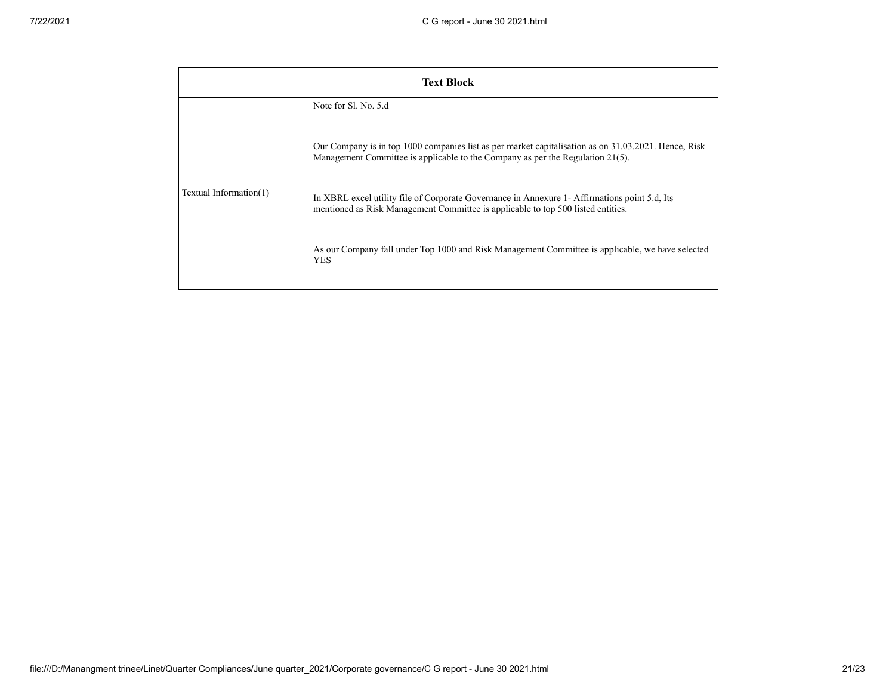| <b>Text Block</b>      |                                                                                                                                                                                                                                                                                                                                                                                                       |  |  |  |  |
|------------------------|-------------------------------------------------------------------------------------------------------------------------------------------------------------------------------------------------------------------------------------------------------------------------------------------------------------------------------------------------------------------------------------------------------|--|--|--|--|
| Textual Information(1) | Note for SL No. 5.d<br>Our Company is in top 1000 companies list as per market capitalisation as on 31.03.2021. Hence, Risk<br>Management Committee is applicable to the Company as per the Regulation $21(5)$ .<br>In XBRL excel utility file of Corporate Governance in Annexure 1- Affirmations point 5.d, Its<br>mentioned as Risk Management Committee is applicable to top 500 listed entities. |  |  |  |  |
|                        | As our Company fall under Top 1000 and Risk Management Committee is applicable, we have selected<br><b>YES</b>                                                                                                                                                                                                                                                                                        |  |  |  |  |